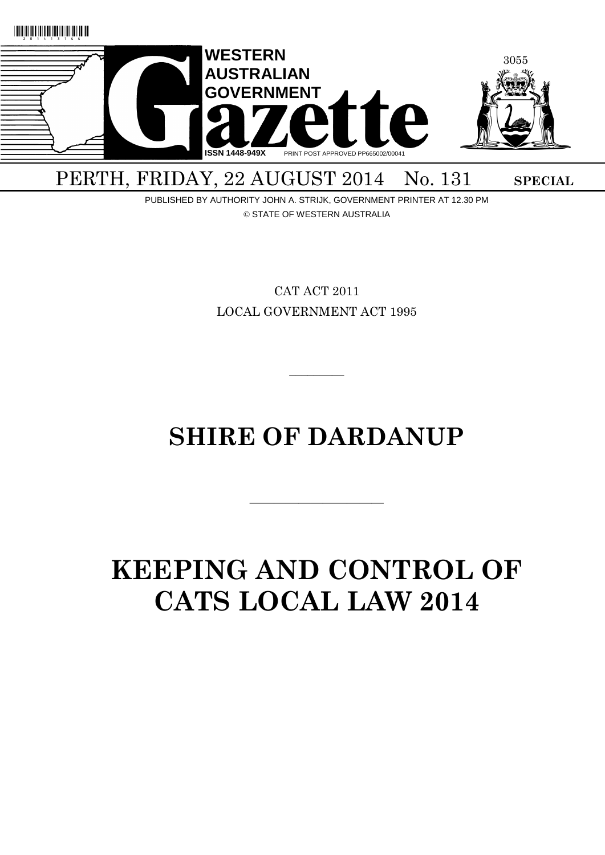

PERTH, FRIDAY, 22 AUGUST 2014 No. 131 SPECIAL

PUBLISHED BY AUTHORITY JOHN A. STRIJK, GOVERNMENT PRINTER AT 12.30 PM © STATE OF WESTERN AUSTRALIA

> CAT ACT 2011 LOCAL GOVERNMENT ACT 1995

# **SHIRE OF DARDANUP**

 $\overline{\phantom{a}}$  , and the contract of the contract of the contract of the contract of the contract of the contract of the contract of the contract of the contract of the contract of the contract of the contract of the contrac

 $\overline{\phantom{a}}$ 

# **KEEPING AND CONTROL OF CATS LOCAL LAW 2014**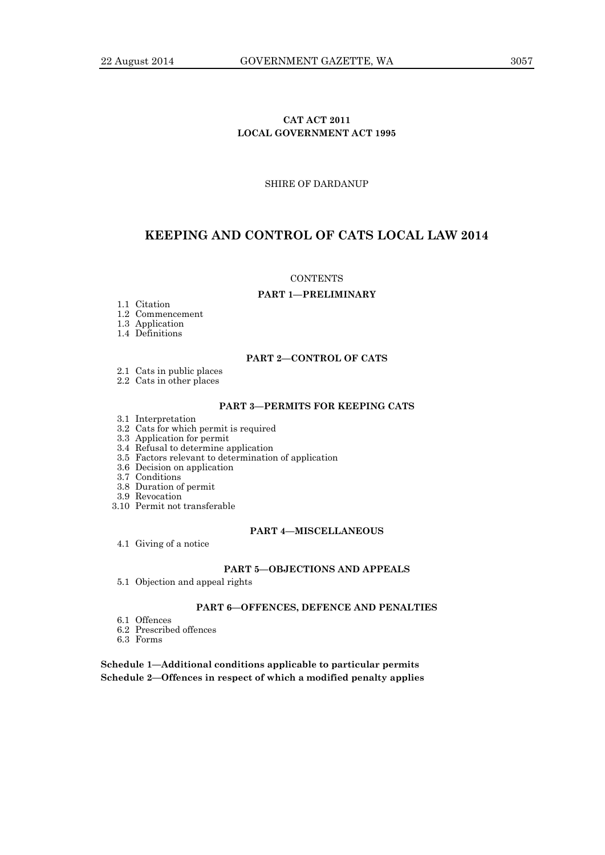# **CAT ACT 2011 LOCAL GOVERNMENT ACT 1995**

SHIRE OF DARDANUP

# **KEEPING AND CONTROL OF CATS LOCAL LAW 2014**

#### **CONTENTS**

#### **PART 1—PRELIMINARY**

- 1.1 Citation
- 1.2 Commencement
- 1.3 Application

1.4 Definitions

#### **PART 2—CONTROL OF CATS**

- 2.1 Cats in public places
- 2.2 Cats in other places

# **PART 3—PERMITS FOR KEEPING CATS**

3.1 Interpretation

# 3.2 Cats for which permit is required

- 3.3 Application for permit
- 3.4 Refusal to determine application
- 3.5 Factors relevant to determination of application
- 3.6 Decision on application
- 3.7 Conditions
- 3.8 Duration of permit
- 3.9 Revocation
- 3.10 Permit not transferable

#### **PART 4—MISCELLANEOUS**

4.1 Giving of a notice

#### **PART 5—OBJECTIONS AND APPEALS**

5.1 Objection and appeal rights

## **PART 6—OFFENCES, DEFENCE AND PENALTIES**

- 6.1 Offences
- 6.2 Prescribed offences
- 6.3 Forms

**Schedule 1—Additional conditions applicable to particular permits Schedule 2—Offences in respect of which a modified penalty applies**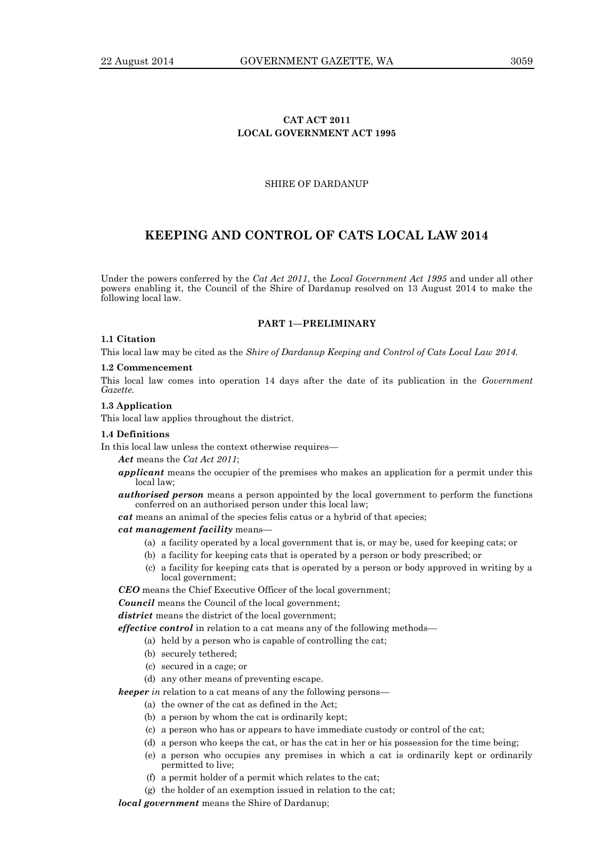# **CAT ACT 2011 LOCAL GOVERNMENT ACT 1995**

## SHIRE OF DARDANUP

# **KEEPING AND CONTROL OF CATS LOCAL LAW 2014**

Under the powers conferred by the *Cat Act 2011*, the *Local Government Act 1995* and under all other powers enabling it, the Council of the Shire of Dardanup resolved on 13 August 2014 to make the following local law.

#### **PART 1—PRELIMINARY**

## **1.1 Citation**

This local law may be cited as the *Shire of Dardanup Keeping and Control of Cats Local Law 2014.*

#### **1.2 Commencement**

This local law comes into operation 14 days after the date of its publication in the *Government Gazette.*

#### **1.3 Application**

This local law applies throughout the district.

#### **1.4 Definitions**

In this local law unless the context otherwise requires—

*Act* means the *Cat Act 2011*;

- *applicant* means the occupier of the premises who makes an application for a permit under this local law;
- *authorised person* means a person appointed by the local government to perform the functions conferred on an authorised person under this local law;
- *cat* means an animal of the species felis catus or a hybrid of that species;

## *cat management facility* means—

- (a) a facility operated by a local government that is, or may be, used for keeping cats; or
- (b) a facility for keeping cats that is operated by a person or body prescribed; or
- (c) a facility for keeping cats that is operated by a person or body approved in writing by a local government;

*CEO* means the Chief Executive Officer of the local government;

*Council* means the Council of the local government;

district means the district of the local government;

*effective control* in relation to a cat means any of the following methods—

- (a) held by a person who is capable of controlling the cat;
- (b) securely tethered;
- (c) secured in a cage; or
- (d) any other means of preventing escape.

*keeper in* relation to a cat means of any the following persons—

- (a) the owner of the cat as defined in the Act;
- (b) a person by whom the cat is ordinarily kept;
- (c) a person who has or appears to have immediate custody or control of the cat;
- (d) a person who keeps the cat, or has the cat in her or his possession for the time being;
- (e) a person who occupies any premises in which a cat is ordinarily kept or ordinarily permitted to live;
- (f) a permit holder of a permit which relates to the cat;
- (g) the holder of an exemption issued in relation to the cat;

*local government* means the Shire of Dardanup;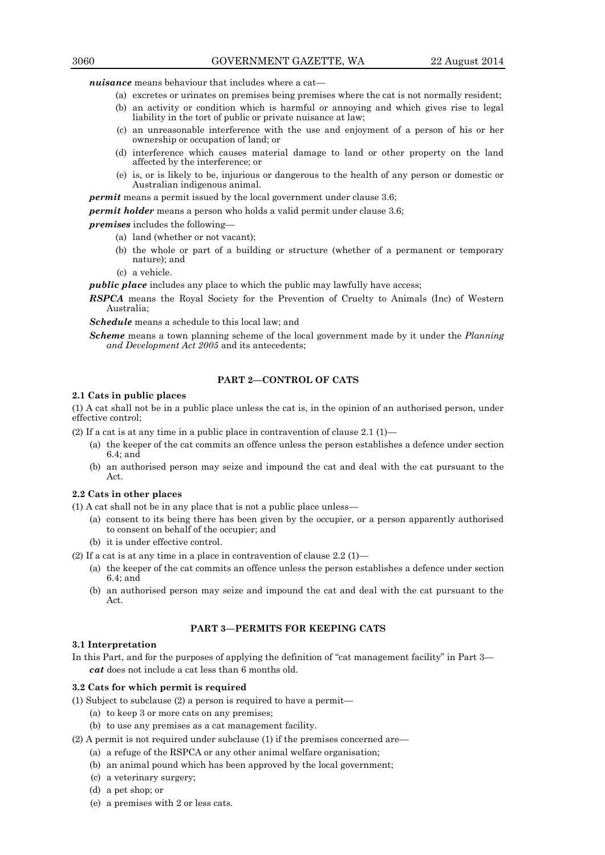*nuisance* means behaviour that includes where a cat—

- (a) excretes or urinates on premises being premises where the cat is not normally resident;
- (b) an activity or condition which is harmful or annoying and which gives rise to legal liability in the tort of public or private nuisance at law;
- (c) an unreasonable interference with the use and enjoyment of a person of his or her ownership or occupation of land; or
- (d) interference which causes material damage to land or other property on the land affected by the interference; or
- (e) is, or is likely to be, injurious or dangerous to the health of any person or domestic or Australian indigenous animal.

*permit* means a permit issued by the local government under clause 3.6;

*permit holder* means a person who holds a valid permit under clause 3.6;

*premises* includes the following—

- (a) land (whether or not vacant);
- (b) the whole or part of a building or structure (whether of a permanent or temporary nature); and
- (c) a vehicle.

*public place* includes any place to which the public may lawfully have access;

*RSPCA* means the Royal Society for the Prevention of Cruelty to Animals (Inc) of Western Australia;

*Schedule* means a schedule to this local law; and

*Scheme* means a town planning scheme of the local government made by it under the *Planning and Development Act 2005* and its antecedents;

#### **PART 2—CONTROL OF CATS**

#### **2.1 Cats in public places**

(1) A cat shall not be in a public place unless the cat is, in the opinion of an authorised person, under effective control;

(2) If a cat is at any time in a public place in contravention of clause  $2.1 \,(1)$ —

- (a) the keeper of the cat commits an offence unless the person establishes a defence under section 6.4; and
- (b) an authorised person may seize and impound the cat and deal with the cat pursuant to the Act.

#### **2.2 Cats in other places**

(1) A cat shall not be in any place that is not a public place unless—

- (a) consent to its being there has been given by the occupier, or a person apparently authorised to consent on behalf of the occupier; and
- (b) it is under effective control.

(2) If a cat is at any time in a place in contravention of clause  $2.2 \,(1)$ —

- (a) the keeper of the cat commits an offence unless the person establishes a defence under section 6.4; and
- (b) an authorised person may seize and impound the cat and deal with the cat pursuant to the Act.

# **PART 3—PERMITS FOR KEEPING CATS**

# **3.1 Interpretation**

In this Part, and for the purposes of applying the definition of "cat management facility" in Part 3 *cat* does not include a cat less than 6 months old.

#### **3.2 Cats for which permit is required**

(1) Subject to subclause (2) a person is required to have a permit—

- (a) to keep 3 or more cats on any premises;
- (b) to use any premises as a cat management facility.
- (2) A permit is not required under subclause (1) if the premises concerned are—
	- (a) a refuge of the RSPCA or any other animal welfare organisation;
	- (b) an animal pound which has been approved by the local government;
	- (c) a veterinary surgery;
	- (d) a pet shop; or
	- (e) a premises with 2 or less cats.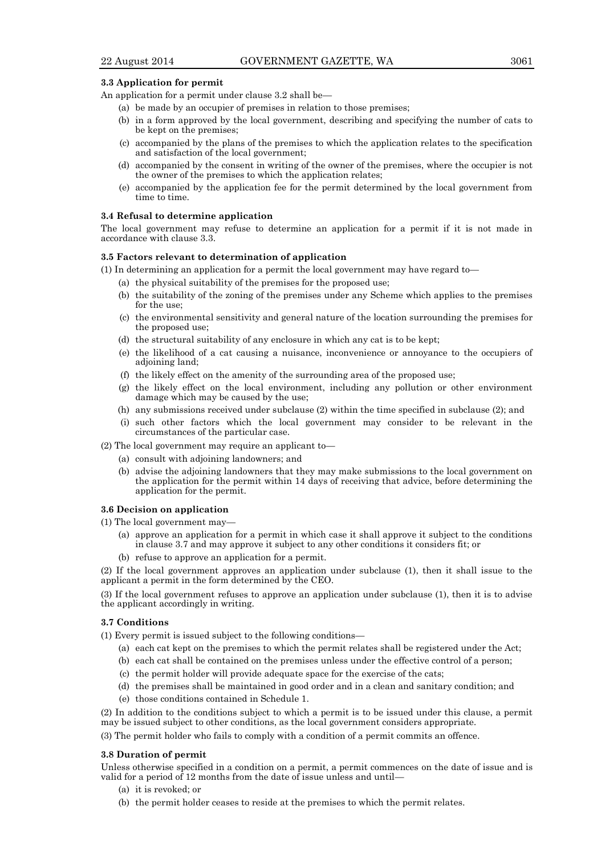## **3.3 Application for permit**

An application for a permit under clause 3.2 shall be—

- (a) be made by an occupier of premises in relation to those premises;
- (b) in a form approved by the local government, describing and specifying the number of cats to be kept on the premises;
- (c) accompanied by the plans of the premises to which the application relates to the specification and satisfaction of the local government;
- (d) accompanied by the consent in writing of the owner of the premises, where the occupier is not the owner of the premises to which the application relates;
- (e) accompanied by the application fee for the permit determined by the local government from time to time.

## **3.4 Refusal to determine application**

The local government may refuse to determine an application for a permit if it is not made in accordance with clause 3.3.

#### **3.5 Factors relevant to determination of application**

(1) In determining an application for a permit the local government may have regard to—

- (a) the physical suitability of the premises for the proposed use;
- (b) the suitability of the zoning of the premises under any Scheme which applies to the premises for the use;
- (c) the environmental sensitivity and general nature of the location surrounding the premises for the proposed use;
- (d) the structural suitability of any enclosure in which any cat is to be kept;
- (e) the likelihood of a cat causing a nuisance, inconvenience or annoyance to the occupiers of adjoining land;
- (f) the likely effect on the amenity of the surrounding area of the proposed use;
- (g) the likely effect on the local environment, including any pollution or other environment damage which may be caused by the use;
- (h) any submissions received under subclause (2) within the time specified in subclause (2); and
- (i) such other factors which the local government may consider to be relevant in the circumstances of the particular case.
- (2) The local government may require an applicant to—
	- (a) consult with adjoining landowners; and
	- (b) advise the adjoining landowners that they may make submissions to the local government on the application for the permit within 14 days of receiving that advice, before determining the application for the permit.

#### **3.6 Decision on application**

(1) The local government may—

- (a) approve an application for a permit in which case it shall approve it subject to the conditions in clause 3.7 and may approve it subject to any other conditions it considers fit; or
- (b) refuse to approve an application for a permit.

(2) If the local government approves an application under subclause (1), then it shall issue to the applicant a permit in the form determined by the CEO.

(3) If the local government refuses to approve an application under subclause (1), then it is to advise the applicant accordingly in writing.

#### **3.7 Conditions**

- (1) Every permit is issued subject to the following conditions—
	- (a) each cat kept on the premises to which the permit relates shall be registered under the Act;
	- (b) each cat shall be contained on the premises unless under the effective control of a person;
	- (c) the permit holder will provide adequate space for the exercise of the cats;
	- (d) the premises shall be maintained in good order and in a clean and sanitary condition; and
	- (e) those conditions contained in Schedule 1.

(2) In addition to the conditions subject to which a permit is to be issued under this clause, a permit may be issued subject to other conditions, as the local government considers appropriate.

(3) The permit holder who fails to comply with a condition of a permit commits an offence.

#### **3.8 Duration of permit**

Unless otherwise specified in a condition on a permit, a permit commences on the date of issue and is valid for a period of 12 months from the date of issue unless and until—

- (a) it is revoked; or
- (b) the permit holder ceases to reside at the premises to which the permit relates.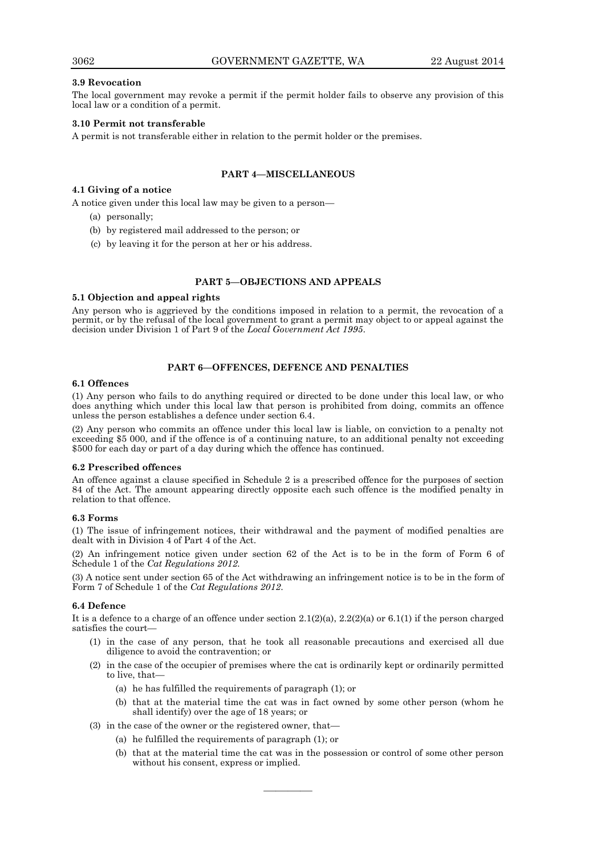## **3.9 Revocation**

The local government may revoke a permit if the permit holder fails to observe any provision of this local law or a condition of a permit.

## **3.10 Permit not transferable**

A permit is not transferable either in relation to the permit holder or the premises.

# **PART 4—MISCELLANEOUS**

#### **4.1 Giving of a notice**

A notice given under this local law may be given to a person—

- (a) personally;
- (b) by registered mail addressed to the person; or
- (c) by leaving it for the person at her or his address.

#### **PART 5—OBJECTIONS AND APPEALS**

#### **5.1 Objection and appeal rights**

Any person who is aggrieved by the conditions imposed in relation to a permit, the revocation of a permit, or by the refusal of the local government to grant a permit may object to or appeal against the decision under Division 1 of Part 9 of the *Local Government Act 1995*.

#### **PART 6—OFFENCES, DEFENCE AND PENALTIES**

# **6.1 Offences**

(1) Any person who fails to do anything required or directed to be done under this local law, or who does anything which under this local law that person is prohibited from doing, commits an offence unless the person establishes a defence under section 6.4.

(2) Any person who commits an offence under this local law is liable, on conviction to a penalty not exceeding \$5 000, and if the offence is of a continuing nature, to an additional penalty not exceeding \$500 for each day or part of a day during which the offence has continued.

#### **6.2 Prescribed offences**

An offence against a clause specified in Schedule 2 is a prescribed offence for the purposes of section 84 of the Act. The amount appearing directly opposite each such offence is the modified penalty in relation to that offence.

#### **6.3 Forms**

(1) The issue of infringement notices, their withdrawal and the payment of modified penalties are dealt with in Division 4 of Part 4 of the Act.

(2) An infringement notice given under section 62 of the Act is to be in the form of Form 6 of Schedule 1 of the *Cat Regulations 2012.* 

(3) A notice sent under section 65 of the Act withdrawing an infringement notice is to be in the form of Form 7 of Schedule 1 of the *Cat Regulations 2012*.

#### **6.4 Defence**

It is a defence to a charge of an offence under section  $2.1(2)(a)$ ,  $2.2(2)(a)$  or  $6.1(1)$  if the person charged satisfies the court—

- (1) in the case of any person, that he took all reasonable precautions and exercised all due diligence to avoid the contravention; or
- (2) in the case of the occupier of premises where the cat is ordinarily kept or ordinarily permitted to live, that—
	- (a) he has fulfilled the requirements of paragraph (1); or
	- (b) that at the material time the cat was in fact owned by some other person (whom he shall identify) over the age of 18 years; or
- (3) in the case of the owner or the registered owner, that—
	- (a) he fulfilled the requirements of paragraph (1); or
	- (b) that at the material time the cat was in the possession or control of some other person without his consent, express or implied.

————